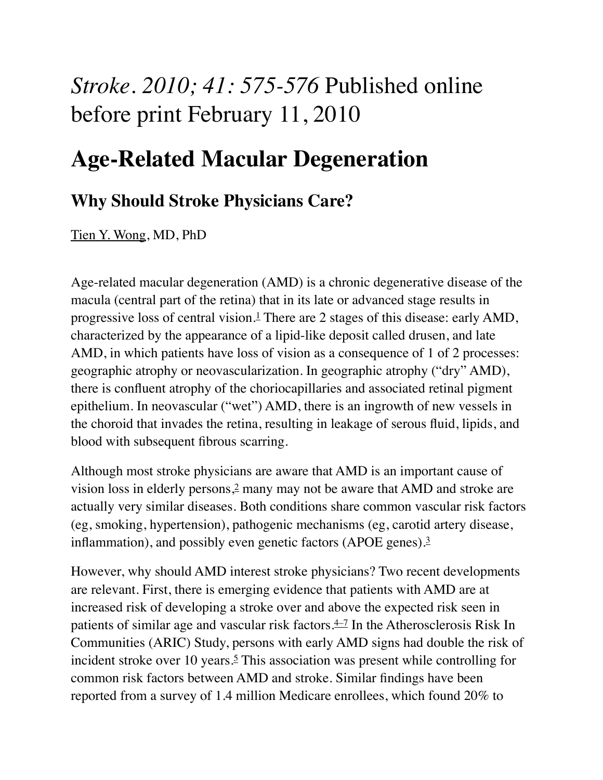## *Stroke. 2010; 41: 575-576* Published online before print February 11, 2010

## **Age-Related Macular Degeneration**

## **Why Should Stroke Physicians Care?**

[Tien Y. Wong](http://stroke.ahajournals.org/search?author1=Tien+Y.+Wong&sortspec=date&submit=Submit), MD, PhD

Age-related macular degeneration (AMD) is a chronic degenerative disease of the macula (central part of the retina) that in its late or advanced stage results in progressive loss of central vision.[1](http://stroke.ahajournals.org/content/41/4/575.full#ref-1) There are 2 stages of this disease: early AMD, characterized by the appearance of a lipid-like deposit called drusen, and late AMD, in which patients have loss of vision as a consequence of 1 of 2 processes: geographic atrophy or neovascularization. In geographic atrophy ("dry" AMD), there is confluent atrophy of the choriocapillaries and associated retinal pigment epithelium. In neovascular ("wet") AMD, there is an ingrowth of new vessels in the choroid that invades the retina, resulting in leakage of serous fluid, lipids, and blood with subsequent fibrous scarring.

Although most stroke physicians are aware that AMD is an important cause of vision loss in elderly persons[,2](http://stroke.ahajournals.org/content/41/4/575.full#ref-2) many may not be aware that AMD and stroke are actually very similar diseases. Both conditions share common vascular risk factors (eg, smoking, hypertension), pathogenic mechanisms (eg, carotid artery disease, inflammation), and possibly even genetic factors (APOE genes)[.3](http://stroke.ahajournals.org/content/41/4/575.full#ref-3)

However, why should AMD interest stroke physicians? Two recent developments are relevant. First, there is emerging evidence that patients with AMD are at increased risk of developing a stroke over and above the expected risk seen in patients of similar age and vascular risk factors.<sup>4–7</sup> In the Atherosclerosis Risk In Communities (ARIC) Study, persons with early AMD signs had double the risk of incident stroke over 10 years.<sup>5</sup> This association was present while controlling for common risk factors between AMD and stroke. Similar findings have been reported from a survey of 1.4 million Medicare enrollees, which found 20% to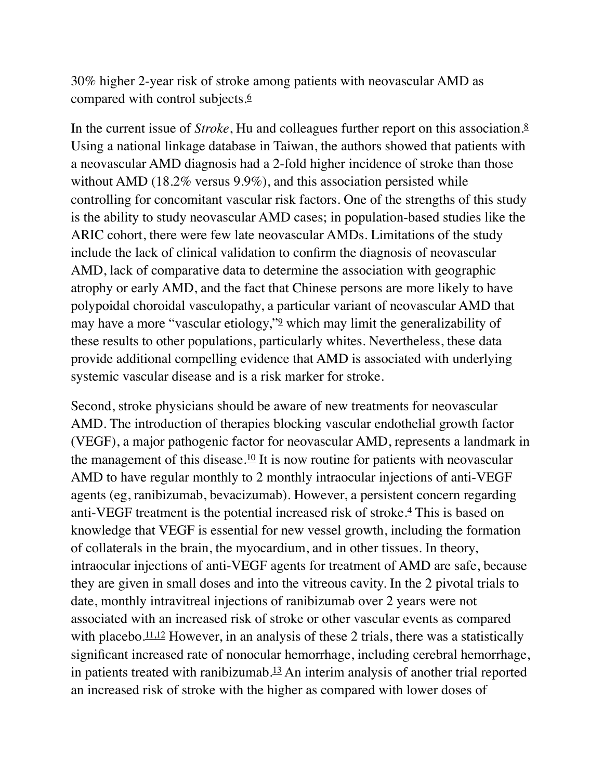30% higher 2-year risk of stroke among patients with neovascular AMD as compared with control subjects.<sup>[6](http://stroke.ahajournals.org/content/41/4/575.full#ref-6)</sup>

In the current issue of *Stroke*, Hu and colleagues further report on this association[.8](http://stroke.ahajournals.org/content/41/4/575.full#ref-8) Using a national linkage database in Taiwan, the authors showed that patients with a neovascular AMD diagnosis had a 2-fold higher incidence of stroke than those without AMD (18.2% versus 9.9%), and this association persisted while controlling for concomitant vascular risk factors. One of the strengths of this study is the ability to study neovascular AMD cases; in population-based studies like the ARIC cohort, there were few late neovascular AMDs. Limitations of the study include the lack of clinical validation to confirm the diagnosis of neovascular AMD, lack of comparative data to determine the association with geographic atrophy or early AMD, and the fact that Chinese persons are more likely to have polypoidal choroidal vasculopathy, a particular variant of neovascular AMD that may have a more "vascular etiology,"[9](http://stroke.ahajournals.org/content/41/4/575.full#ref-9) which may limit the generalizability of these results to other populations, particularly whites. Nevertheless, these data provide additional compelling evidence that AMD is associated with underlying systemic vascular disease and is a risk marker for stroke.

Second, stroke physicians should be aware of new treatments for neovascular AMD. The introduction of therapies blocking vascular endothelial growth factor (VEGF), a major pathogenic factor for neovascular AMD, represents a landmark in the management of this disease.<sup>10</sup> It is now routine for patients with neovascular AMD to have regular monthly to 2 monthly intraocular injections of anti-VEGF agents (eg, ranibizumab, bevacizumab). However, a persistent concern regarding anti-VEGF treatment is the potential increased risk of stroke.[4](http://stroke.ahajournals.org/content/41/4/575.full#ref-4) This is based on knowledge that VEGF is essential for new vessel growth, including the formation of collaterals in the brain, the myocardium, and in other tissues. In theory, intraocular injections of anti-VEGF agents for treatment of AMD are safe, because they are given in small doses and into the vitreous cavity. In the 2 pivotal trials to date, monthly intravitreal injections of ranibizumab over 2 years were not associated with an increased risk of stroke or other vascular events as compared with placebo. $11,12$  However, in an analysis of these 2 trials, there was a statistically significant increased rate of nonocular hemorrhage, including cerebral hemorrhage, in patients treated with ranibizumab. $13$  An interim analysis of another trial reported an increased risk of stroke with the higher as compared with lower doses of